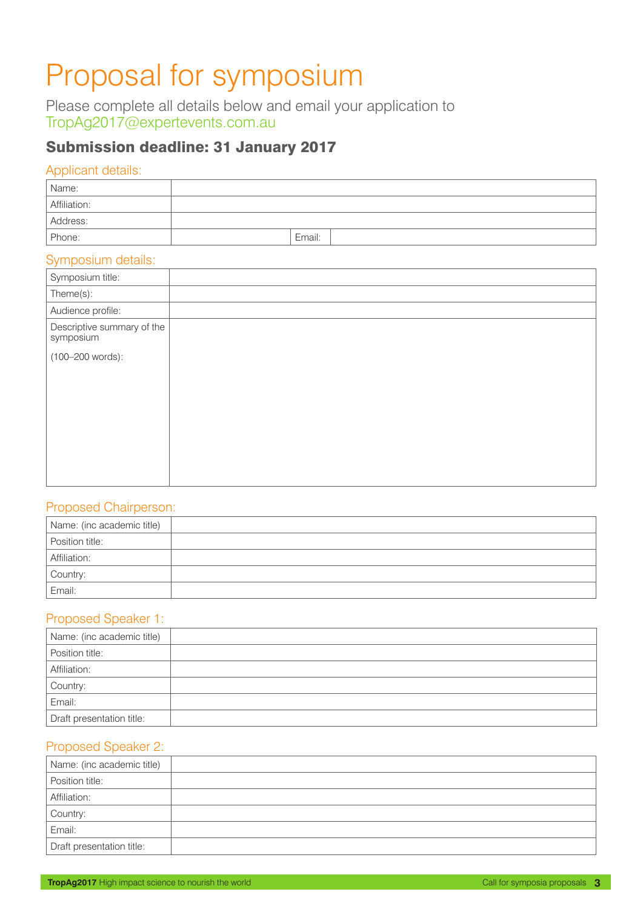# Proposal for symposium

Please complete all details below and email your application to TropAg2017@expertevents.com.au

## Submission deadline: 31 January 2017

#### Applicant details:

| Name:        |        |  |
|--------------|--------|--|
| Affiliation: |        |  |
| Address:     |        |  |
| Phone:       | Email: |  |

#### Symposium details:

| Symposium title:                        |  |
|-----------------------------------------|--|
| Theme(s):                               |  |
| Audience profile:                       |  |
| Descriptive summary of the<br>symposium |  |
| (100-200 words):                        |  |
|                                         |  |
|                                         |  |
|                                         |  |
|                                         |  |
|                                         |  |
|                                         |  |
|                                         |  |

#### Proposed Chairperson:

| Name: (inc academic title) |  |
|----------------------------|--|
| Position title:            |  |
| Affiliation:               |  |
| Country:                   |  |
| Email:                     |  |

#### Proposed Speaker 1:

| Name: (inc academic title) |  |
|----------------------------|--|
| Position title:            |  |
| Affiliation:               |  |
| Country:                   |  |
| Email:                     |  |
| Draft presentation title:  |  |

#### Proposed Speaker 2:

| Name: (inc academic title) |  |
|----------------------------|--|
| Position title:            |  |
| Affiliation:               |  |
| Country:                   |  |
| Email:                     |  |
| Draft presentation title:  |  |